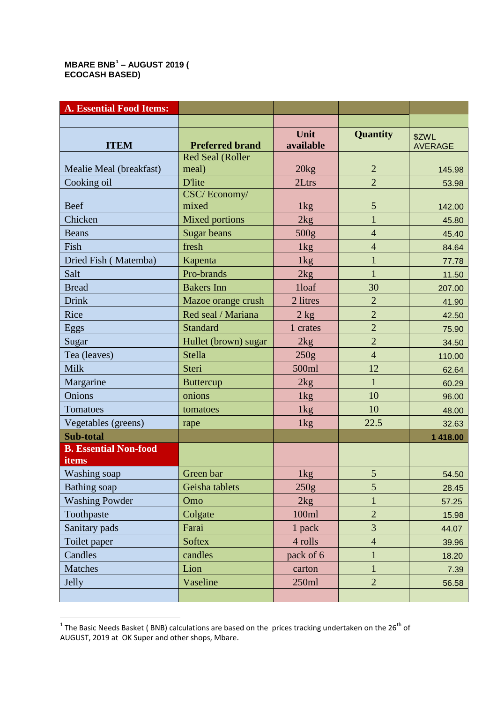## **MBARE BNB<sup>1</sup> – AUGUST 2019 ( ECOCASH BASED)**

| <b>A. Essential Food Items:</b> |                                  |                  |                 |                 |
|---------------------------------|----------------------------------|------------------|-----------------|-----------------|
|                                 |                                  |                  |                 |                 |
|                                 |                                  | Unit             | <b>Quantity</b> | \$ZWL           |
| <b>ITEM</b>                     | <b>Preferred brand</b>           | available        |                 | <b>AVERAGE</b>  |
| Mealie Meal (breakfast)         | <b>Red Seal (Roller</b><br>meal) | 20kg             | $\overline{2}$  |                 |
| Cooking oil                     | <b>D'lite</b>                    | 2Ltrs            | $\overline{2}$  | 145.98<br>53.98 |
|                                 | CSC/Economy/                     |                  |                 |                 |
| <b>Beef</b>                     | mixed                            | 1kg              | 5               | 142.00          |
| Chicken                         | <b>Mixed portions</b>            | 2kg              | $\mathbf{1}$    | 45.80           |
| <b>Beans</b>                    | Sugar beans                      | 500 <sub>g</sub> | $\overline{4}$  | 45.40           |
| Fish                            | fresh                            | 1kg              | 4               | 84.64           |
| Dried Fish (Matemba)            | Kapenta                          | 1 <sub>kg</sub>  | $\mathbf{1}$    | 77.78           |
| Salt                            | Pro-brands                       | 2kg              | $\mathbf{1}$    | 11.50           |
| <b>Bread</b>                    | <b>Bakers</b> Inn                | 1loaf            | 30              | 207.00          |
| <b>Drink</b>                    | Mazoe orange crush               | 2 litres         | $\overline{2}$  | 41.90           |
| Rice                            | Red seal / Mariana               | $2$ kg           | $\overline{2}$  | 42.50           |
| Eggs                            | <b>Standard</b>                  | 1 crates         | $\overline{2}$  | 75.90           |
| Sugar                           | Hullet (brown) sugar             | 2kg              | $\overline{2}$  | 34.50           |
| Tea (leaves)                    | <b>Stella</b>                    | 250g             | $\overline{4}$  | 110.00          |
| <b>Milk</b>                     | Steri                            | 500ml            | 12              | 62.64           |
| Margarine                       | <b>Buttercup</b>                 | 2kg              | $\overline{1}$  | 60.29           |
| Onions                          | onions                           | 1kg              | 10              | 96.00           |
| Tomatoes                        | tomatoes                         | 1kg              | 10              | 48.00           |
| Vegetables (greens)             | rape                             | 1kg              | 22.5            | 32.63           |
| Sub-total                       |                                  |                  |                 | 1 418.00        |
| <b>B. Essential Non-food</b>    |                                  |                  |                 |                 |
| items                           |                                  |                  |                 |                 |
| Washing soap                    | Green bar                        | 1kg              | 5 <sup>1</sup>  | 54.50           |
| <b>Bathing</b> soap             | Geisha tablets                   | 250g             | 5               | 28.45           |
| <b>Washing Powder</b>           | Omo                              | 2kg              | 1               | 57.25           |
| Toothpaste                      | Colgate                          | 100ml            | $\overline{2}$  | 15.98           |
| Sanitary pads                   | Farai                            | 1 pack           | $\overline{3}$  | 44.07           |
| Toilet paper                    | <b>Softex</b>                    | 4 rolls          | $\overline{4}$  | 39.96           |
| Candles                         | candles                          | pack of 6        | $\mathbf{1}$    | 18.20           |
| <b>Matches</b>                  | Lion                             | carton           | $\mathbf{1}$    | 7.39            |
| Jelly                           | Vaseline                         | 250ml            | $\overline{2}$  | 56.58           |
|                                 |                                  |                  |                 |                 |

 1 The Basic Needs Basket ( BNB) calculations are based on the prices tracking undertaken on the 26th of AUGUST, 2019 at OK Super and other shops, Mbare.